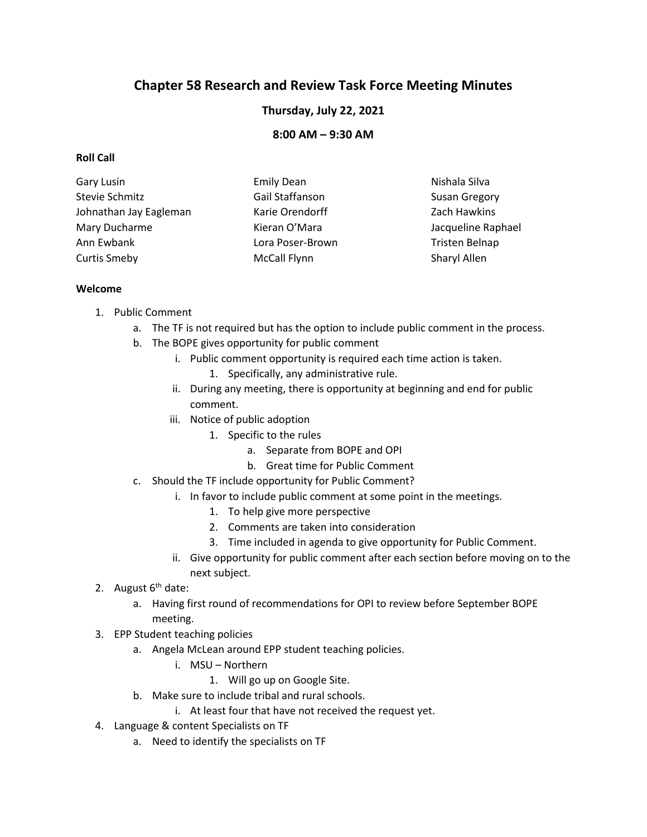# **Chapter 58 Research and Review Task Force Meeting Minutes**

**Thursday, July 22, 2021**

**8:00 AM – 9:30 AM**

#### **Roll Call**

| Gary Lusin             | <b>Emily Dean</b>   | Nishala Silva        |
|------------------------|---------------------|----------------------|
| Stevie Schmitz         | Gail Staffanson     | <b>Susan Gregory</b> |
| Johnathan Jay Eagleman | Karie Orendorff     | Zach Hawkins         |
| Mary Ducharme          | Kieran O'Mara       | Jacqueline Raphael   |
| Ann Ewbank             | Lora Poser-Brown    | Tristen Belnap       |
| <b>Curtis Smeby</b>    | <b>McCall Flynn</b> | Sharyl Allen         |

#### **Welcome**

- 1. Public Comment
	- a. The TF is not required but has the option to include public comment in the process.
	- b. The BOPE gives opportunity for public comment
		- i. Public comment opportunity is required each time action is taken.
			- 1. Specifically, any administrative rule.
		- ii. During any meeting, there is opportunity at beginning and end for public comment.
		- iii. Notice of public adoption
			- 1. Specific to the rules
				- a. Separate from BOPE and OPI
				- b. Great time for Public Comment
	- c. Should the TF include opportunity for Public Comment?
		- i. In favor to include public comment at some point in the meetings.
			- 1. To help give more perspective
			- 2. Comments are taken into consideration
			- 3. Time included in agenda to give opportunity for Public Comment.
		- ii. Give opportunity for public comment after each section before moving on to the next subject.
- 2. August  $6<sup>th</sup>$  date:
	- a. Having first round of recommendations for OPI to review before September BOPE meeting.
- 3. EPP Student teaching policies
	- a. Angela McLean around EPP student teaching policies.
		- i. MSU Northern
			- 1. Will go up on Google Site.
	- b. Make sure to include tribal and rural schools.
		- i. At least four that have not received the request yet.
- 4. Language & content Specialists on TF
	- a. Need to identify the specialists on TF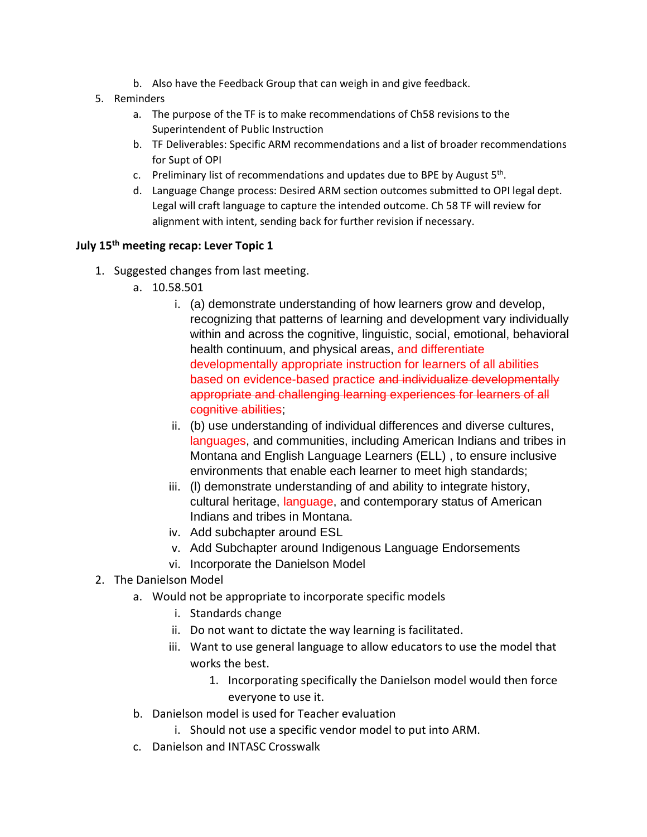- b. Also have the Feedback Group that can weigh in and give feedback.
- 5. Reminders
	- a. The purpose of the TF is to make recommendations of Ch58 revisions to the Superintendent of Public Instruction
	- b. TF Deliverables: Specific ARM recommendations and a list of broader recommendations for Supt of OPI
	- c. Preliminary list of recommendations and updates due to BPE by August  $5<sup>th</sup>$ .
	- d. Language Change process: Desired ARM section outcomes submitted to OPI legal dept. Legal will craft language to capture the intended outcome. Ch 58 TF will review for alignment with intent, sending back for further revision if necessary.

#### **July 15th meeting recap: Lever Topic 1**

- 1. Suggested changes from last meeting.
	- a. 10.58.501
		- i. (a) demonstrate understanding of how learners grow and develop, recognizing that patterns of learning and development vary individually within and across the cognitive, linguistic, social, emotional, behavioral health continuum, and physical areas, and differentiate developmentally appropriate instruction for learners of all abilities based on evidence-based practice and individualize developmentally appropriate and challenging learning experiences for learners of all cognitive abilities;
		- ii. (b) use understanding of individual differences and diverse cultures, languages, and communities, including American Indians and tribes in Montana and English Language Learners (ELL) , to ensure inclusive environments that enable each learner to meet high standards;
		- iii. (l) demonstrate understanding of and ability to integrate history, cultural heritage, language, and contemporary status of American Indians and tribes in Montana.
		- iv. Add subchapter around ESL
		- v. Add Subchapter around Indigenous Language Endorsements
		- vi. Incorporate the Danielson Model
- 2. The Danielson Model
	- a. Would not be appropriate to incorporate specific models
		- i. Standards change
		- ii. Do not want to dictate the way learning is facilitated.
		- iii. Want to use general language to allow educators to use the model that works the best.
			- 1. Incorporating specifically the Danielson model would then force everyone to use it.
	- b. Danielson model is used for Teacher evaluation
		- i. Should not use a specific vendor model to put into ARM.
	- c. Danielson and INTASC Crosswalk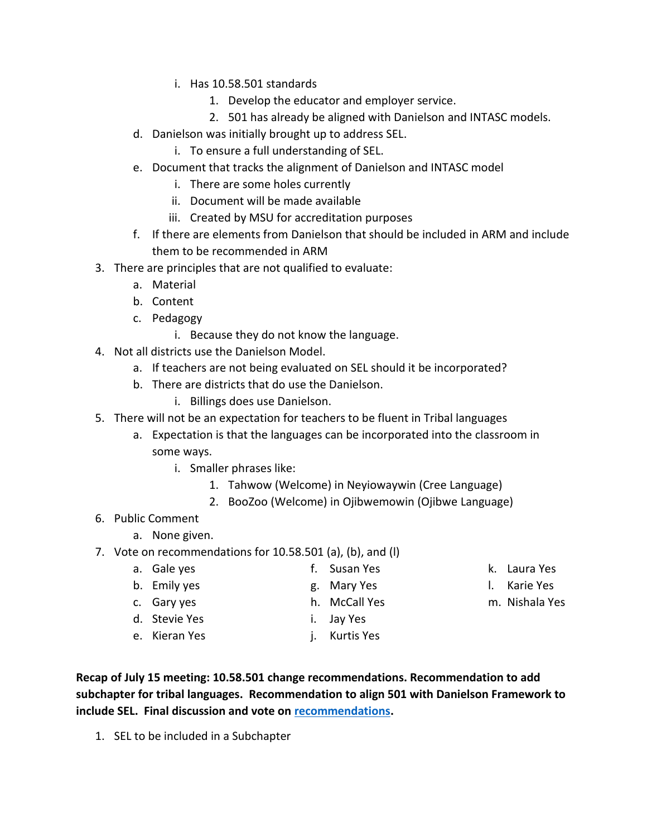- i. Has 10.58.501 standards
	- 1. Develop the educator and employer service.
	- 2. 501 has already be aligned with Danielson and INTASC models.
- d. Danielson was initially brought up to address SEL.
	- i. To ensure a full understanding of SEL.
- e. Document that tracks the alignment of Danielson and INTASC model
	- i. There are some holes currently
	- ii. Document will be made available
	- iii. Created by MSU for accreditation purposes
- f. If there are elements from Danielson that should be included in ARM and include them to be recommended in ARM
- 3. There are principles that are not qualified to evaluate:
	- a. Material
	- b. Content
	- c. Pedagogy
		- i. Because they do not know the language.
- 4. Not all districts use the Danielson Model.
	- a. If teachers are not being evaluated on SEL should it be incorporated?
	- b. There are districts that do use the Danielson.
		- i. Billings does use Danielson.
- 5. There will not be an expectation for teachers to be fluent in Tribal languages
	- a. Expectation is that the languages can be incorporated into the classroom in some ways.
		- i. Smaller phrases like:
			- 1. Tahwow (Welcome) in Neyiowaywin (Cree Language)
			- 2. BooZoo (Welcome) in Ojibwemowin (Ojibwe Language)
- 6. Public Comment
	- a. None given.
- 7. Vote on recommendations for 10.58.501 (a), (b), and (l)
	- a. Gale yes b. Emily yes c. Gary yes d. Stevie Yes e. Kieran Yes f. Susan Yes g. Mary Yes h. McCall Yes i. Jay Yes j. Kurtis Yes k. Laura Yes l. Karie Yes m. Nishala Yes

**Recap of July 15 meeting: 10.58.501 change recommendations. Recommendation to add subchapter for tribal languages. Recommendation to align 501 with Danielson Framework to include SEL. Final discussion and vote on [recommendations.](https://drive.google.com/file/d/1pv5O6Sj3NyFjdZxUjqb5I3EN_gEZCCkY/view?usp=sharing)**

1. SEL to be included in a Subchapter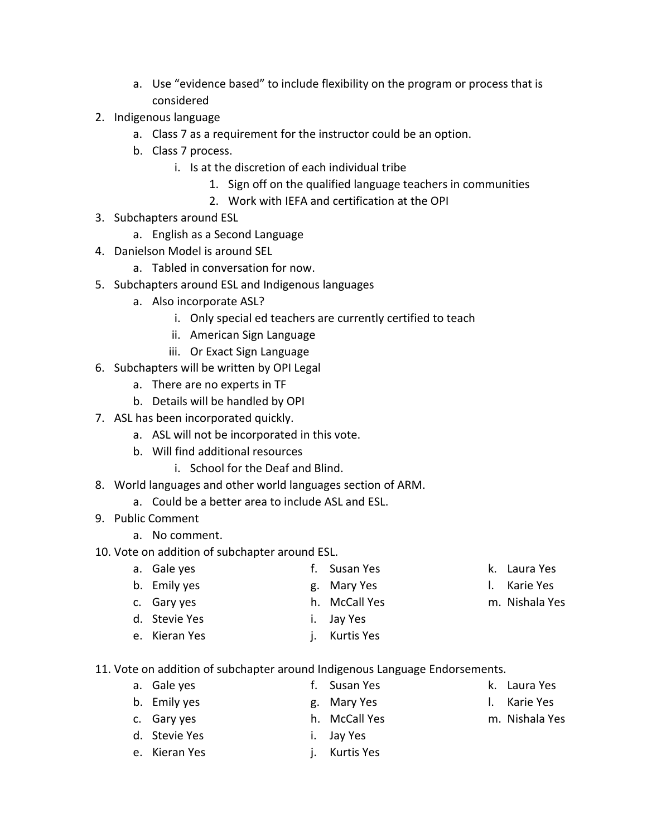- a. Use "evidence based" to include flexibility on the program or process that is considered
- 2. Indigenous language
	- a. Class 7 as a requirement for the instructor could be an option.
	- b. Class 7 process.
		- i. Is at the discretion of each individual tribe
			- 1. Sign off on the qualified language teachers in communities
			- 2. Work with IEFA and certification at the OPI
- 3. Subchapters around ESL
	- a. English as a Second Language
- 4. Danielson Model is around SEL
	- a. Tabled in conversation for now.
- 5. Subchapters around ESL and Indigenous languages
	- a. Also incorporate ASL?
		- i. Only special ed teachers are currently certified to teach
		- ii. American Sign Language
		- iii. Or Exact Sign Language
- 6. Subchapters will be written by OPI Legal
	- a. There are no experts in TF
	- b. Details will be handled by OPI
- 7. ASL has been incorporated quickly.
	- a. ASL will not be incorporated in this vote.
	- b. Will find additional resources
		- i. School for the Deaf and Blind.
- 8. World languages and other world languages section of ARM.
	- a. Could be a better area to include ASL and ESL.
- 9. Public Comment
	- a. No comment.

## 10. Vote on addition of subchapter around ESL.

- a. Gale yes b. Emily yes c. Gary yes d. Stevie Yes e. Kieran Yes f. Susan Yes g. Mary Yes h. McCall Yes i. Jay Yes j. Kurtis Yes k. Laura Yes l. Karie Yes m. Nishala Yes
- 11. Vote on addition of subchapter around Indigenous Language Endorsements.
	- a. Gale yes b. Emily yes c. Gary yes d. Stevie Yes e. Kieran Yes f. Susan Yes g. Mary Yes h. McCall Yes i. Jay Yes j. Kurtis Yes k. Laura Yes l. Karie Yes m. Nishala Yes